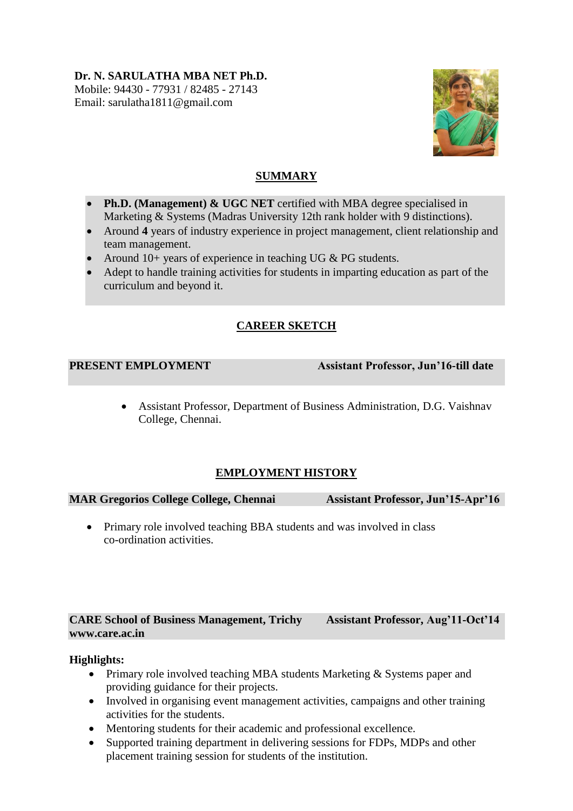## **Dr. N. SARULATHA MBA NET Ph.D.** Mobile: 94430 - 77931 / 82485 - 27143 Email: sarulatha1811@gmail.com



# **SUMMARY**

- Ph.D. (Management) & UGC NET certified with MBA degree specialised in Marketing & Systems (Madras University 12th rank holder with 9 distinctions).
- Around **4** years of industry experience in project management, client relationship and team management.
- Around 10+ years of experience in teaching UG & PG students.
- Adept to handle training activities for students in imparting education as part of the curriculum and beyond it.

# **CAREER SKETCH**

**PRESENT EMPLOYMENT** Assistant Professor, Jun'16-till date

 Assistant Professor, Department of Business Administration, D.G. Vaishnav College, Chennai.

# **EMPLOYMENT HISTORY**

## **MAR Gregorios College College, Chennai Assistant Professor, Jun'15-Apr'16**

• Primary role involved teaching BBA students and was involved in class co-ordination activities.

## **CARE School of Business Management, Trichy Assistant Professor, Aug'11-Oct'14 www.care.ac.in**

## **Highlights:**

- Primary role involved teaching MBA students Marketing & Systems paper and providing guidance for their projects.
- Involved in organising event management activities, campaigns and other training activities for the students.
- Mentoring students for their academic and professional excellence.
- Supported training department in delivering sessions for FDPs, MDPs and other placement training session for students of the institution.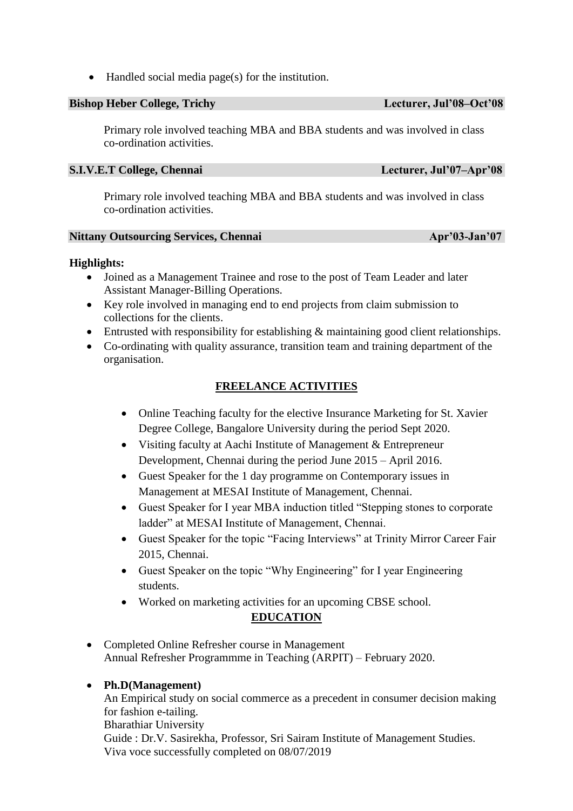Handled social media page(s) for the institution.

## **Bishop Heber College, Trichy Lecturer, Jul'08–Oct'08**

Primary role involved teaching MBA and BBA students and was involved in class co-ordination activities.

## **S.I.V.E.T College, Chennai Lecturer, Jul'07–Apr'08**

Primary role involved teaching MBA and BBA students and was involved in class co-ordination activities.

## **Nittany Outsourcing Services, Chennai Apr'03-Jan'07**

## **Highlights:**

- Joined as a Management Trainee and rose to the post of Team Leader and later Assistant Manager-Billing Operations.
- Key role involved in managing end to end projects from claim submission to collections for the clients.
- Entrusted with responsibility for establishing & maintaining good client relationships.
- Co-ordinating with quality assurance, transition team and training department of the organisation.

## **FREELANCE ACTIVITIES**

- Online Teaching faculty for the elective Insurance Marketing for St. Xavier Degree College, Bangalore University during the period Sept 2020.
- Visiting faculty at Aachi Institute of Management & Entrepreneur Development, Chennai during the period June 2015 – April 2016.
- Guest Speaker for the 1 day programme on Contemporary issues in Management at MESAI Institute of Management, Chennai.
- Guest Speaker for I year MBA induction titled "Stepping stones to corporate ladder" at MESAI Institute of Management, Chennai.
- Guest Speaker for the topic "Facing Interviews" at Trinity Mirror Career Fair 2015, Chennai.
- Guest Speaker on the topic "Why Engineering" for I year Engineering students.
- Worked on marketing activities for an upcoming CBSE school.

# **EDUCATION**

 Completed Online Refresher course in Management Annual Refresher Programmme in Teaching (ARPIT) – February 2020.

## **Ph.D(Management)**

An Empirical study on social commerce as a precedent in consumer decision making for fashion e-tailing.

Bharathiar University

Guide : Dr.V. Sasirekha, Professor, Sri Sairam Institute of Management Studies. Viva voce successfully completed on 08/07/2019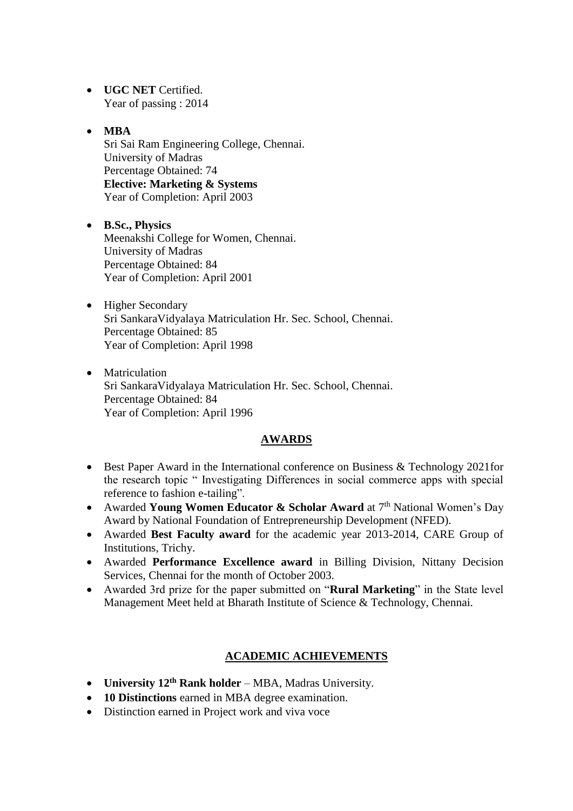- **UGC NET** Certified. Year of passing : 2014
- **MBA** Sri Sai Ram Engineering College, Chennai. University of Madras Percentage Obtained: 74 **Elective: Marketing & Systems** Year of Completion: April 2003
- **B.Sc., Physics**  Meenakshi College for Women, Chennai. University of Madras Percentage Obtained: 84 Year of Completion: April 2001
- Higher Secondary Sri SankaraVidyalaya Matriculation Hr. Sec. School, Chennai. Percentage Obtained: 85 Year of Completion: April 1998
- Matriculation Sri SankaraVidyalaya Matriculation Hr. Sec. School, Chennai. Percentage Obtained: 84 Year of Completion: April 1996

## **AWARDS**

- Best Paper Award in the International conference on Business & Technology 2021 for the research topic " Investigating Differences in social commerce apps with special reference to fashion e-tailing".
- Awarded Young Women Educator & Scholar Award at 7<sup>th</sup> National Women's Day Award by National Foundation of Entrepreneurship Development (NFED).
- Awarded **Best Faculty award** for the academic year 2013-2014, CARE Group of Institutions, Trichy.
- Awarded **Performance Excellence award** in Billing Division, Nittany Decision Services, Chennai for the month of October 2003.
- Awarded 3rd prize for the paper submitted on "**Rural Marketing**" in the State level Management Meet held at Bharath Institute of Science & Technology, Chennai.

## **ACADEMIC ACHIEVEMENTS**

- **University 12th Rank holder** MBA, Madras University.
- **10 Distinctions** earned in MBA degree examination.
- Distinction earned in Project work and viva voce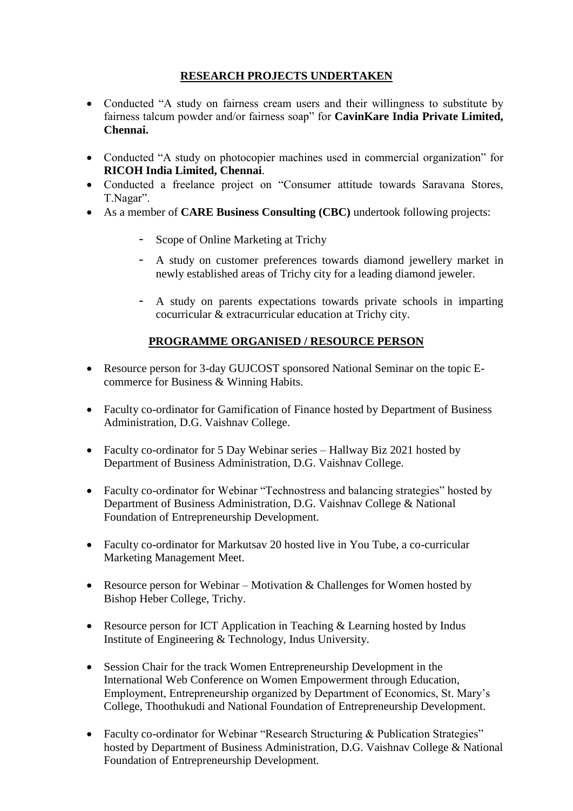# **RESEARCH PROJECTS UNDERTAKEN**

- Conducted "A study on fairness cream users and their willingness to substitute by fairness talcum powder and/or fairness soap" for **CavinKare India Private Limited, Chennai.**
- Conducted "A study on photocopier machines used in commercial organization" for **RICOH India Limited, Chennai**.
- Conducted a freelance project on "Consumer attitude towards Saravana Stores, T.Nagar".
- As a member of **CARE Business Consulting (CBC)** undertook following projects:
	- Scope of Online Marketing at Trichy
	- A study on customer preferences towards diamond jewellery market in newly established areas of Trichy city for a leading diamond jeweler.
	- A study on parents expectations towards private schools in imparting cocurricular & extracurricular education at Trichy city.

# **PROGRAMME ORGANISED / RESOURCE PERSON**

- Resource person for 3-day GUJCOST sponsored National Seminar on the topic Ecommerce for Business & Winning Habits.
- Faculty co-ordinator for Gamification of Finance hosted by Department of Business Administration, D.G. Vaishnav College.
- Faculty co-ordinator for 5 Day Webinar series Hallway Biz 2021 hosted by Department of Business Administration, D.G. Vaishnav College.
- Faculty co-ordinator for Webinar "Technostress and balancing strategies" hosted by Department of Business Administration, D.G. Vaishnav College & National Foundation of Entrepreneurship Development.
- Faculty co-ordinator for Markutsav 20 hosted live in You Tube, a co-curricular Marketing Management Meet.
- Resource person for Webinar Motivation & Challenges for Women hosted by Bishop Heber College, Trichy.
- Resource person for ICT Application in Teaching & Learning hosted by Indus Institute of Engineering & Technology, Indus University.
- Session Chair for the track Women Entrepreneurship Development in the International Web Conference on Women Empowerment through Education, Employment, Entrepreneurship organized by Department of Economics, St. Mary's College, Thoothukudi and National Foundation of Entrepreneurship Development.
- Faculty co-ordinator for Webinar "Research Structuring & Publication Strategies" hosted by Department of Business Administration, D.G. Vaishnav College & National Foundation of Entrepreneurship Development.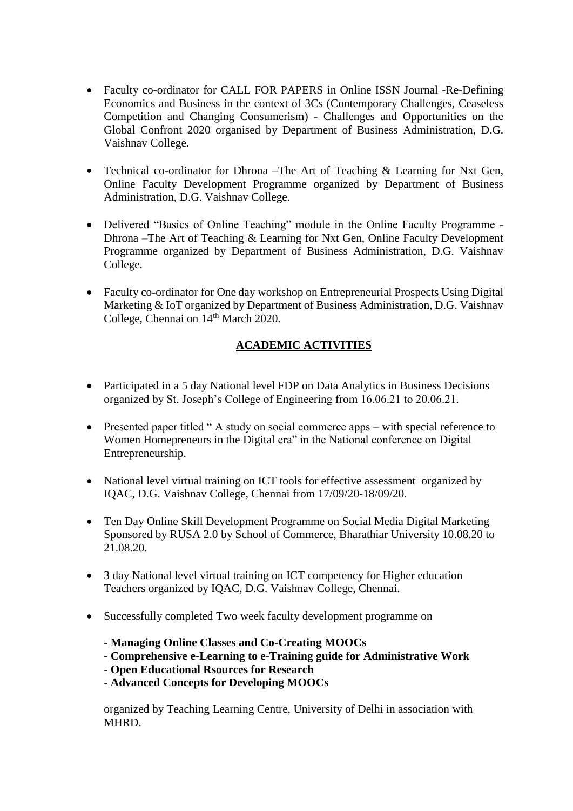- Faculty co-ordinator for CALL FOR PAPERS in Online ISSN Journal -Re-Defining Economics and Business in the context of 3Cs (Contemporary Challenges, Ceaseless Competition and Changing Consumerism) - Challenges and Opportunities on the Global Confront 2020 organised by Department of Business Administration, D.G. Vaishnav College.
- Technical co-ordinator for Dhrona –The Art of Teaching & Learning for Nxt Gen, Online Faculty Development Programme organized by Department of Business Administration, D.G. Vaishnav College.
- Delivered "Basics of Online Teaching" module in the Online Faculty Programme Dhrona –The Art of Teaching & Learning for Nxt Gen, Online Faculty Development Programme organized by Department of Business Administration, D.G. Vaishnav College.
- Faculty co-ordinator for One day workshop on Entrepreneurial Prospects Using Digital Marketing & IoT organized by Department of Business Administration, D.G. Vaishnav College, Chennai on 14<sup>th</sup> March 2020.

# **ACADEMIC ACTIVITIES**

- Participated in a 5 day National level FDP on Data Analytics in Business Decisions organized by St. Joseph's College of Engineering from 16.06.21 to 20.06.21.
- Presented paper titled " A study on social commerce apps with special reference to Women Homepreneurs in the Digital era" in the National conference on Digital Entrepreneurship.
- National level virtual training on ICT tools for effective assessment organized by IQAC, D.G. Vaishnav College, Chennai from 17/09/20-18/09/20.
- Ten Day Online Skill Development Programme on Social Media Digital Marketing Sponsored by RUSA 2.0 by School of Commerce, Bharathiar University 10.08.20 to 21.08.20.
- 3 day National level virtual training on ICT competency for Higher education Teachers organized by IQAC, D.G. Vaishnav College, Chennai.
- Successfully completed Two week faculty development programme on
	- **- Managing Online Classes and Co-Creating MOOCs**
	- **- Comprehensive e-Learning to e-Training guide for Administrative Work**
	- **- Open Educational Rsources for Research**
	- **- Advanced Concepts for Developing MOOCs**

organized by Teaching Learning Centre, University of Delhi in association with MHRD.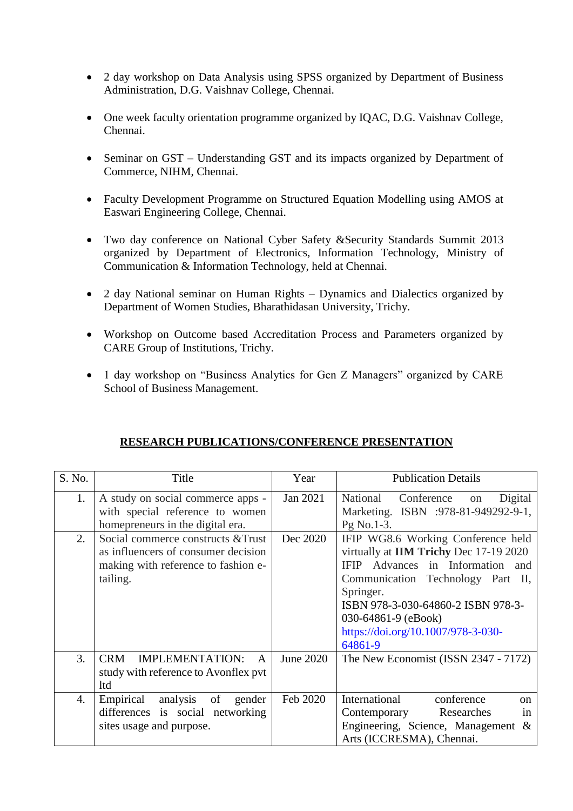- 2 day workshop on Data Analysis using SPSS organized by Department of Business Administration, D.G. Vaishnav College, Chennai.
- One week faculty orientation programme organized by IQAC, D.G. Vaishnav College, Chennai.
- Seminar on GST Understanding GST and its impacts organized by Department of Commerce, NIHM, Chennai.
- Faculty Development Programme on Structured Equation Modelling using AMOS at Easwari Engineering College, Chennai.
- Two day conference on National Cyber Safety &Security Standards Summit 2013 organized by Department of Electronics, Information Technology, Ministry of Communication & Information Technology, held at Chennai.
- 2 day National seminar on Human Rights Dynamics and Dialectics organized by Department of Women Studies, Bharathidasan University, Trichy.
- Workshop on Outcome based Accreditation Process and Parameters organized by CARE Group of Institutions, Trichy.
- 1 day workshop on "Business Analytics for Gen Z Managers" organized by CARE School of Business Management.

| S. No. | Title                                                                                                                        | Year      | <b>Publication Details</b>                                                                                                                                                                                                                                                                 |
|--------|------------------------------------------------------------------------------------------------------------------------------|-----------|--------------------------------------------------------------------------------------------------------------------------------------------------------------------------------------------------------------------------------------------------------------------------------------------|
| 1.     | A study on social commerce apps -<br>with special reference to women<br>homepreneurs in the digital era.                     | Jan 2021  | National Conference<br>Digital<br>on<br>Marketing. ISBN :978-81-949292-9-1,<br>Pg No.1-3.                                                                                                                                                                                                  |
| 2.     | Social commerce constructs & Trust<br>as influencers of consumer decision<br>making with reference to fashion e-<br>tailing. | Dec 2020  | IFIP WG8.6 Working Conference held<br>virtually at IIM Trichy Dec 17-19 2020<br>Advances in Information and<br><b>IFIP</b><br>Communication Technology Part II,<br>Springer.<br>ISBN 978-3-030-64860-2 ISBN 978-3-<br>030-64861-9 (eBook)<br>https://doi.org/10.1007/978-3-030-<br>64861-9 |
| 3.     | <b>CRM</b><br><b>IMPLEMENTATION:</b><br>A<br>study with reference to Avonflex pvt<br>ltd                                     | June 2020 | The New Economist (ISSN 2347 - 7172)                                                                                                                                                                                                                                                       |
| 4.     | Empirical<br>analysis<br>of<br>gender<br>differences is social networking<br>sites usage and purpose.                        | Feb 2020  | International<br>conference<br><sub>on</sub><br>Researches<br>Contemporary<br>in<br>Engineering, Science, Management $\&$<br>Arts (ICCRESMA), Chennai.                                                                                                                                     |

## **RESEARCH PUBLICATIONS/CONFERENCE PRESENTATION**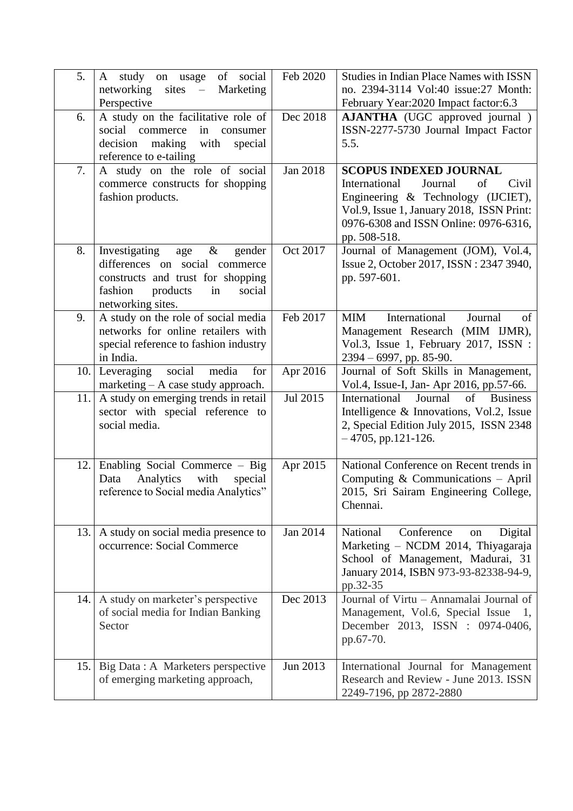| 5.  | A study on usage of social                                                   | Feb 2020        | <b>Studies in Indian Place Names with ISSN</b>                                      |
|-----|------------------------------------------------------------------------------|-----------------|-------------------------------------------------------------------------------------|
|     | networking<br>$sites -$<br>Marketing<br>Perspective                          |                 | no. 2394-3114 Vol:40 issue:27 Month:<br>February Year:2020 Impact factor:6.3        |
| 6.  | A study on the facilitative role of                                          | Dec 2018        | <b>AJANTHA</b> (UGC approved journal)                                               |
|     | social commerce<br>in<br>consumer<br>making<br>decision<br>with<br>special   |                 | ISSN-2277-5730 Journal Impact Factor<br>5.5.                                        |
|     | reference to e-tailing                                                       |                 |                                                                                     |
| 7.  | A study on the role of social                                                | <b>Jan 2018</b> | <b>SCOPUS INDEXED JOURNAL</b>                                                       |
|     | commerce constructs for shopping<br>fashion products.                        |                 | International<br>Journal<br>of<br>Civil<br>Engineering & Technology (IJCIET),       |
|     |                                                                              |                 | Vol.9, Issue 1, January 2018, ISSN Print:                                           |
|     |                                                                              |                 | 0976-6308 and ISSN Online: 0976-6316,<br>pp. 508-518.                               |
| 8.  | Investigating<br>$\&$<br>gender<br>age                                       | Oct 2017        | Journal of Management (JOM), Vol.4,                                                 |
|     | differences on social commerce                                               |                 | Issue 2, October 2017, ISSN: 2347 3940,                                             |
|     | constructs and trust for shopping<br>fashion<br>products<br>in<br>social     |                 | pp. 597-601.                                                                        |
|     | networking sites.                                                            |                 |                                                                                     |
| 9.  | A study on the role of social media<br>networks for online retailers with    | Feb 2017        | International<br><b>MIM</b><br>Journal<br>of<br>Management Research (MIM IJMR),     |
|     | special reference to fashion industry                                        |                 | Vol.3, Issue 1, February 2017, ISSN :                                               |
|     | in India.                                                                    |                 | $2394 - 6997$ , pp. 85-90.                                                          |
| 10. | Leveraging<br>social<br>media<br>for<br>marketing $- A$ case study approach. | Apr 2016        | Journal of Soft Skills in Management,<br>Vol.4, Issue-I, Jan-Apr 2016, pp.57-66.    |
| 11. | A study on emerging trends in retail                                         | Jul 2015        | of<br>International<br>Journal<br><b>Business</b>                                   |
|     | sector with special reference to<br>social media.                            |                 | Intelligence & Innovations, Vol.2, Issue<br>2, Special Edition July 2015, ISSN 2348 |
|     |                                                                              |                 | $-4705$ , pp.121-126.                                                               |
| 12. | Enabling Social Commerce - Big                                               | Apr 2015        | National Conference on Recent trends in                                             |
|     | Analytics<br>with<br>Data<br>special                                         |                 | Computing $&$ Communications – April                                                |
|     | reference to Social media Analytics"                                         |                 | 2015, Sri Sairam Engineering College,<br>Chennai.                                   |
|     |                                                                              |                 |                                                                                     |
| 13. | A study on social media presence to                                          | Jan 2014        | National<br>Conference<br>Digital<br>on                                             |
|     | occurrence: Social Commerce                                                  |                 | Marketing - NCDM 2014, Thiyagaraja<br>School of Management, Madurai, 31             |
|     |                                                                              |                 | January 2014, ISBN 973-93-82338-94-9,                                               |
|     |                                                                              | Dec 2013        | pp.32-35<br>Journal of Virtu - Annamalai Journal of                                 |
| 14. | A study on marketer's perspective<br>of social media for Indian Banking      |                 | Management, Vol.6, Special Issue<br>1.                                              |
|     | Sector                                                                       |                 | December 2013, ISSN : 0974-0406,                                                    |
|     |                                                                              |                 | pp.67-70.                                                                           |
| 15. | Big Data : A Marketers perspective                                           | Jun 2013        | International Journal for Management                                                |
|     | of emerging marketing approach,                                              |                 | Research and Review - June 2013. ISSN<br>2249-7196, pp 2872-2880                    |